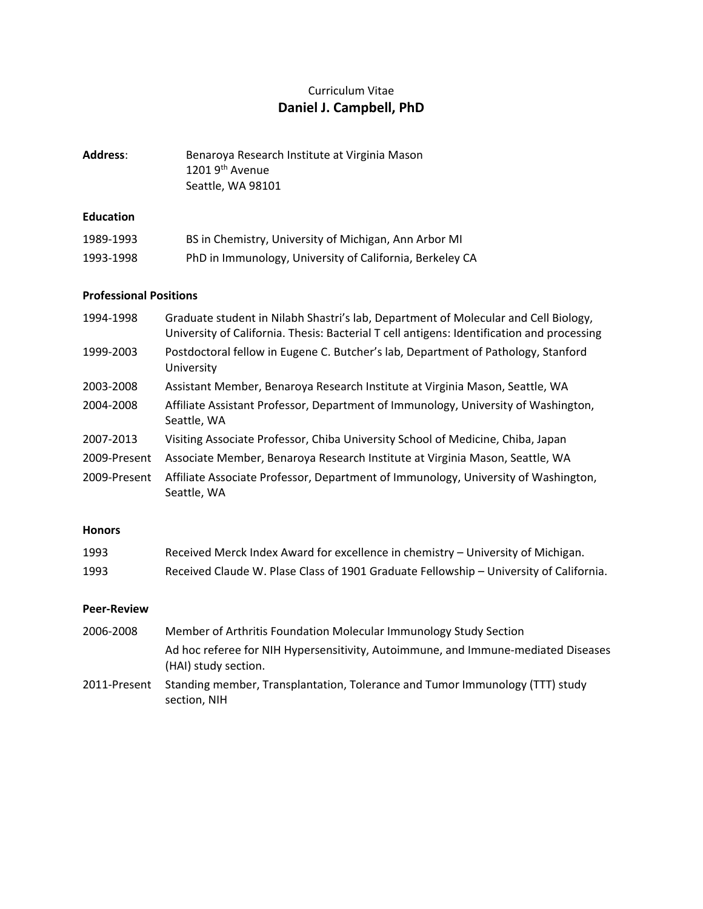# Curriculum Vitae **Daniel J. Campbell, PhD**

| Address: | Benaroya Research Institute at Virginia Mason |
|----------|-----------------------------------------------|
|          | 1201 9 <sup>th</sup> Avenue                   |
|          | Seattle, WA 98101                             |

## **Education**

| 1989-1993 | BS in Chemistry, University of Michigan, Ann Arbor MI    |
|-----------|----------------------------------------------------------|
| 1993-1998 | PhD in Immunology, University of California, Berkeley CA |

## **Professional Positions**

| 1994-1998    | Graduate student in Nilabh Shastri's lab, Department of Molecular and Cell Biology,<br>University of California. Thesis: Bacterial T cell antigens: Identification and processing |
|--------------|-----------------------------------------------------------------------------------------------------------------------------------------------------------------------------------|
| 1999-2003    | Postdoctoral fellow in Eugene C. Butcher's lab, Department of Pathology, Stanford<br>University                                                                                   |
| 2003-2008    | Assistant Member, Benaroya Research Institute at Virginia Mason, Seattle, WA                                                                                                      |
| 2004-2008    | Affiliate Assistant Professor, Department of Immunology, University of Washington,<br>Seattle, WA                                                                                 |
| 2007-2013    | Visiting Associate Professor, Chiba University School of Medicine, Chiba, Japan                                                                                                   |
| 2009-Present | Associate Member, Benaroya Research Institute at Virginia Mason, Seattle, WA                                                                                                      |
| 2009-Present | Affiliate Associate Professor, Department of Immunology, University of Washington,<br>Seattle, WA                                                                                 |

### **Honors**

| 1993 | Received Merck Index Award for excellence in chemistry – University of Michigan.       |
|------|----------------------------------------------------------------------------------------|
| 1993 | Received Claude W. Plase Class of 1901 Graduate Fellowship - University of California. |

#### **Peer‐Review**

- 2006‐2008 Member of Arthritis Foundation Molecular Immunology Study Section Ad hoc referee for NIH Hypersensitivity, Autoimmune, and Immune‐mediated Diseases (HAI) study section.
- 2011-Present Standing member, Transplantation, Tolerance and Tumor Immunology (TTT) study section, NIH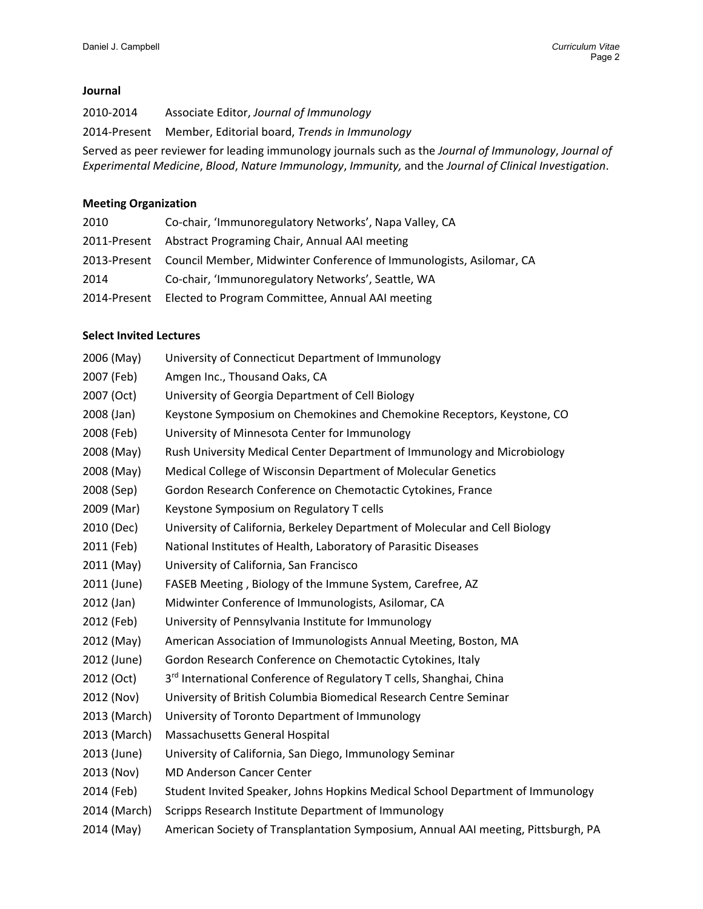#### **Journal**

‐2014 Associate Editor, *Journal of Immunology* ‐Present Member, Editorial board, *Trends in Immunology* Served as peer reviewer for leading immunology journals such as the *Journal of Immunology*, *Journal of Experimental Medicine*, *Blood*, *Nature Immunology*, *Immunity,* and the *Journal of Clinical Investigation*.

#### **Meeting Organization**

| 2010         | Co-chair, 'Immunoregulatory Networks', Napa Valley, CA                           |
|--------------|----------------------------------------------------------------------------------|
|              | 2011-Present Abstract Programing Chair, Annual AAI meeting                       |
|              | 2013-Present Council Member, Midwinter Conference of Immunologists, Asilomar, CA |
| 2014         | Co-chair, 'Immunoregulatory Networks', Seattle, WA                               |
| 2014-Present | Elected to Program Committee, Annual AAI meeting                                 |

#### **Select Invited Lectures**

- (May) University of Connecticut Department of Immunology
- (Feb) Amgen Inc., Thousand Oaks, CA
- (Oct) University of Georgia Department of Cell Biology
- (Jan) Keystone Symposium on Chemokines and Chemokine Receptors, Keystone, CO
- (Feb) University of Minnesota Center for Immunology
- (May) Rush University Medical Center Department of Immunology and Microbiology
- (May) Medical College of Wisconsin Department of Molecular Genetics
- (Sep) Gordon Research Conference on Chemotactic Cytokines, France
- (Mar) Keystone Symposium on Regulatory T cells
- (Dec) University of California, Berkeley Department of Molecular and Cell Biology
- (Feb) National Institutes of Health, Laboratory of Parasitic Diseases
- (May) University of California, San Francisco
- (June) FASEB Meeting , Biology of the Immune System, Carefree, AZ
- (Jan) Midwinter Conference of Immunologists, Asilomar, CA
- (Feb) University of Pennsylvania Institute for Immunology
- (May) American Association of Immunologists Annual Meeting, Boston, MA
- (June) Gordon Research Conference on Chemotactic Cytokines, Italy
- 2012 (Oct) 3<sup>rd</sup> International Conference of Regulatory T cells, Shanghai, China
- (Nov) University of British Columbia Biomedical Research Centre Seminar
- (March) University of Toronto Department of Immunology
- (March) Massachusetts General Hospital
- (June) University of California, San Diego, Immunology Seminar
- (Nov) MD Anderson Cancer Center
- (Feb) Student Invited Speaker, Johns Hopkins Medical School Department of Immunology
- (March) Scripps Research Institute Department of Immunology
- (May) American Society of Transplantation Symposium, Annual AAI meeting, Pittsburgh, PA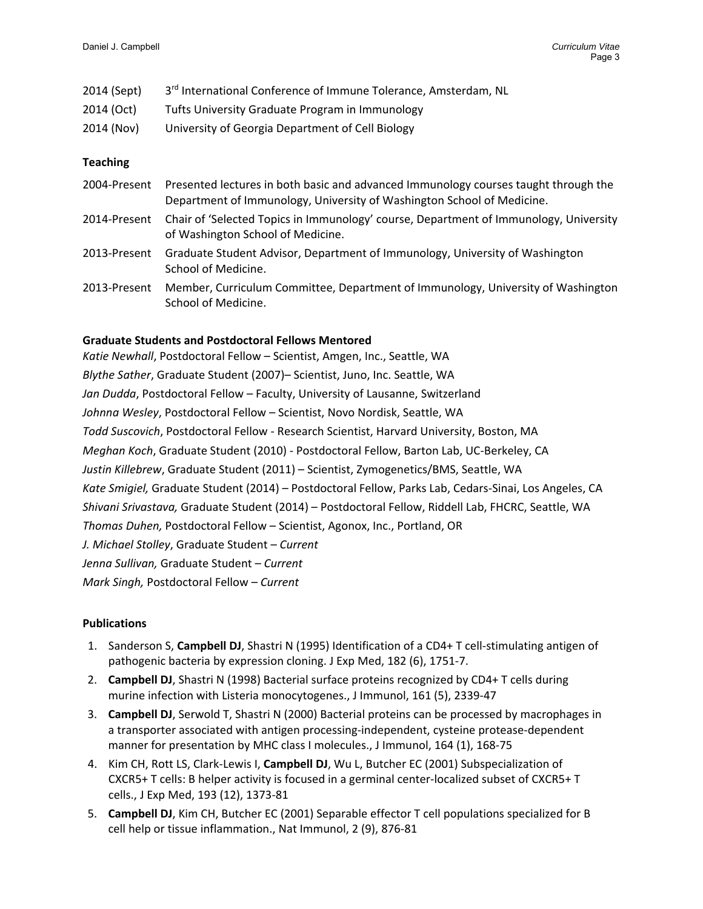|  | 2014 (Sept) | 3 <sup>rd</sup> International Conference of Immune Tolerance, Amsterdam, NL |
|--|-------------|-----------------------------------------------------------------------------|
|--|-------------|-----------------------------------------------------------------------------|

- 2014 (Oct) Tufts University Graduate Program in Immunology
- 2014 (Nov) University of Georgia Department of Cell Biology

## **Teaching**

| 2004-Present | Presented lectures in both basic and advanced Immunology courses taught through the<br>Department of Immunology, University of Washington School of Medicine. |
|--------------|---------------------------------------------------------------------------------------------------------------------------------------------------------------|
| 2014-Present | Chair of 'Selected Topics in Immunology' course, Department of Immunology, University<br>of Washington School of Medicine.                                    |
| 2013-Present | Graduate Student Advisor, Department of Immunology, University of Washington<br>School of Medicine.                                                           |
| 2013-Present | Member, Curriculum Committee, Department of Immunology, University of Washington<br>School of Medicine.                                                       |

## **Graduate Students and Postdoctoral Fellows Mentored**

| Katie Newhall, Postdoctoral Fellow - Scientist, Amgen, Inc., Seattle, WA                              |
|-------------------------------------------------------------------------------------------------------|
| Blythe Sather, Graduate Student (2007)– Scientist, Juno, Inc. Seattle, WA                             |
| Jan Dudda, Postdoctoral Fellow - Faculty, University of Lausanne, Switzerland                         |
| Johnna Wesley, Postdoctoral Fellow – Scientist, Novo Nordisk, Seattle, WA                             |
| Todd Suscovich, Postdoctoral Fellow - Research Scientist, Harvard University, Boston, MA              |
| Meghan Koch, Graduate Student (2010) - Postdoctoral Fellow, Barton Lab, UC-Berkeley, CA               |
| Justin Killebrew, Graduate Student (2011) - Scientist, Zymogenetics/BMS, Seattle, WA                  |
| Kate Smigiel, Graduate Student (2014) - Postdoctoral Fellow, Parks Lab, Cedars-Sinai, Los Angeles, CA |
| Shivani Srivastava, Graduate Student (2014) – Postdoctoral Fellow, Riddell Lab, FHCRC, Seattle, WA    |
| Thomas Duhen, Postdoctoral Fellow – Scientist, Agonox, Inc., Portland, OR                             |
| J. Michael Stolley, Graduate Student - Current                                                        |
| Jenna Sullivan, Graduate Student - Current                                                            |
| Mark Singh, Postdoctoral Fellow - Current                                                             |
|                                                                                                       |

## **Publications**

- 1. Sanderson S, **Campbell DJ**, Shastri N (1995) Identification of a CD4+ T cell‐stimulating antigen of pathogenic bacteria by expression cloning. J Exp Med, 182 (6), 1751‐7.
- 2. **Campbell DJ**, Shastri N (1998) Bacterial surface proteins recognized by CD4+ T cells during murine infection with Listeria monocytogenes., J Immunol, 161 (5), 2339‐47
- 3. **Campbell DJ**, Serwold T, Shastri N (2000) Bacterial proteins can be processed by macrophages in a transporter associated with antigen processing‐independent, cysteine protease‐dependent manner for presentation by MHC class I molecules., J Immunol, 164 (1), 168-75
- 4. Kim CH, Rott LS, Clark‐Lewis I, **Campbell DJ**, Wu L, Butcher EC (2001) Subspecialization of CXCR5+ T cells: B helper activity is focused in a germinal center‐localized subset of CXCR5+ T cells., J Exp Med, 193 (12), 1373‐81
- 5. **Campbell DJ**, Kim CH, Butcher EC (2001) Separable effector T cell populations specialized for B cell help or tissue inflammation., Nat Immunol, 2 (9), 876‐81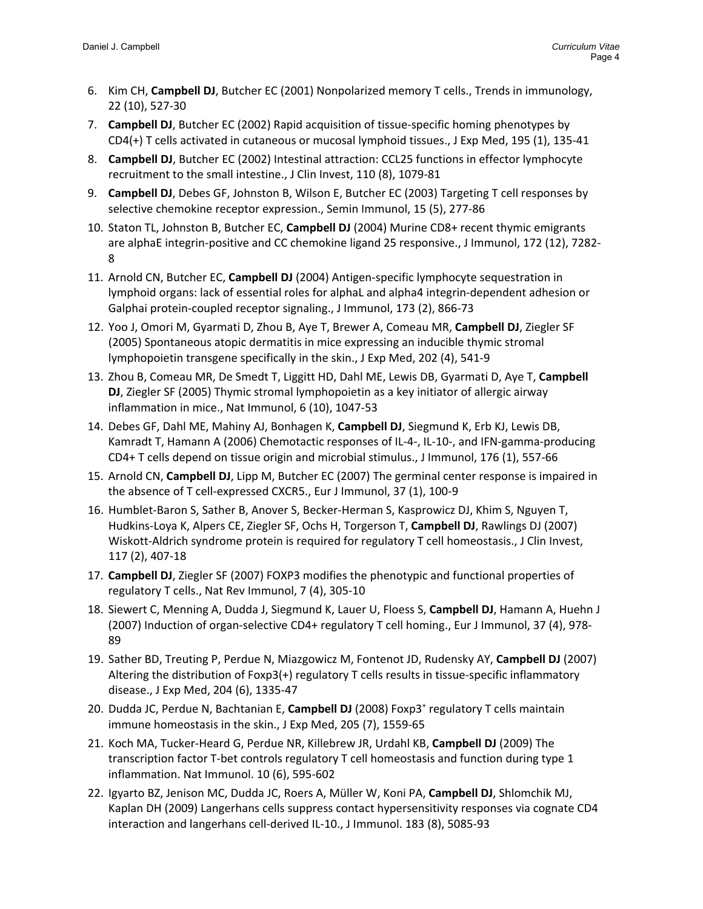- 6. Kim CH, **Campbell DJ**, Butcher EC (2001) Nonpolarized memory T cells., Trends in immunology, 22 (10), 527‐30
- 7. **Campbell DJ**, Butcher EC (2002) Rapid acquisition of tissue‐specific homing phenotypes by CD4(+) T cells activated in cutaneous or mucosal lymphoid tissues., J Exp Med, 195 (1), 135‐41
- 8. **Campbell DJ**, Butcher EC (2002) Intestinal attraction: CCL25 functions in effector lymphocyte recruitment to the small intestine., J Clin Invest, 110 (8), 1079‐81
- 9. **Campbell DJ**, Debes GF, Johnston B, Wilson E, Butcher EC (2003) Targeting T cell responses by selective chemokine receptor expression., Semin Immunol, 15 (5), 277‐86
- 10. Staton TL, Johnston B, Butcher EC, **Campbell DJ** (2004) Murine CD8+ recent thymic emigrants are alphaE integrin‐positive and CC chemokine ligand 25 responsive., J Immunol, 172 (12), 7282‐ 8
- 11. Arnold CN, Butcher EC, **Campbell DJ** (2004) Antigen‐specific lymphocyte sequestration in lymphoid organs: lack of essential roles for alphaL and alpha4 integrin‐dependent adhesion or Galphai protein‐coupled receptor signaling., J Immunol, 173 (2), 866‐73
- 12. Yoo J, Omori M, Gyarmati D, Zhou B, Aye T, Brewer A, Comeau MR, **Campbell DJ**, Ziegler SF (2005) Spontaneous atopic dermatitis in mice expressing an inducible thymic stromal lymphopoietin transgene specifically in the skin., J Exp Med, 202 (4), 541‐9
- 13. Zhou B, Comeau MR, De Smedt T, Liggitt HD, Dahl ME, Lewis DB, Gyarmati D, Aye T, **Campbell DJ**, Ziegler SF (2005) Thymic stromal lymphopoietin as a key initiator of allergic airway inflammation in mice., Nat Immunol, 6 (10), 1047‐53
- 14. Debes GF, Dahl ME, Mahiny AJ, Bonhagen K, **Campbell DJ**, Siegmund K, Erb KJ, Lewis DB, Kamradt T, Hamann A (2006) Chemotactic responses of IL‐4‐, IL‐10‐, and IFN‐gamma‐producing CD4+ T cells depend on tissue origin and microbial stimulus., J Immunol, 176 (1), 557‐66
- 15. Arnold CN, **Campbell DJ**, Lipp M, Butcher EC (2007) The germinal center response is impaired in the absence of T cell‐expressed CXCR5., Eur J Immunol, 37 (1), 100‐9
- 16. Humblet‐Baron S, Sather B, Anover S, Becker‐Herman S, Kasprowicz DJ, Khim S, Nguyen T, Hudkins‐Loya K, Alpers CE, Ziegler SF, Ochs H, Torgerson T, **Campbell DJ**, Rawlings DJ (2007) Wiskott-Aldrich syndrome protein is required for regulatory T cell homeostasis., J Clin Invest, 117 (2), 407‐18
- 17. **Campbell DJ**, Ziegler SF (2007) FOXP3 modifies the phenotypic and functional properties of regulatory T cells., Nat Rev Immunol, 7 (4), 305‐10
- 18. Siewert C, Menning A, Dudda J, Siegmund K, Lauer U, Floess S, **Campbell DJ**, Hamann A, Huehn J (2007) Induction of organ‐selective CD4+ regulatory T cell homing., Eur J Immunol, 37 (4), 978‐ 89
- 19. Sather BD, Treuting P, Perdue N, Miazgowicz M, Fontenot JD, Rudensky AY, **Campbell DJ** (2007) Altering the distribution of Foxp3(+) regulatory T cells results in tissue‐specific inflammatory disease., J Exp Med, 204 (6), 1335‐47
- 20. Dudda JC, Perdue N, Bachtanian E, **Campbell DJ** (2008) Foxp3+ regulatory T cells maintain immune homeostasis in the skin., J Exp Med, 205 (7), 1559‐65
- 21. Koch MA, Tucker‐Heard G, Perdue NR, Killebrew JR, Urdahl KB, **Campbell DJ** (2009) The transcription factor T-bet controls regulatory T cell homeostasis and function during type 1 inflammation. Nat Immunol. 10 (6), 595‐602
- 22. Igyarto BZ, Jenison MC, Dudda JC, Roers A, Müller W, Koni PA, **Campbell DJ**, Shlomchik MJ, Kaplan DH (2009) Langerhans cells suppress contact hypersensitivity responses via cognate CD4 interaction and langerhans cell‐derived IL‐10., J Immunol. 183 (8), 5085‐93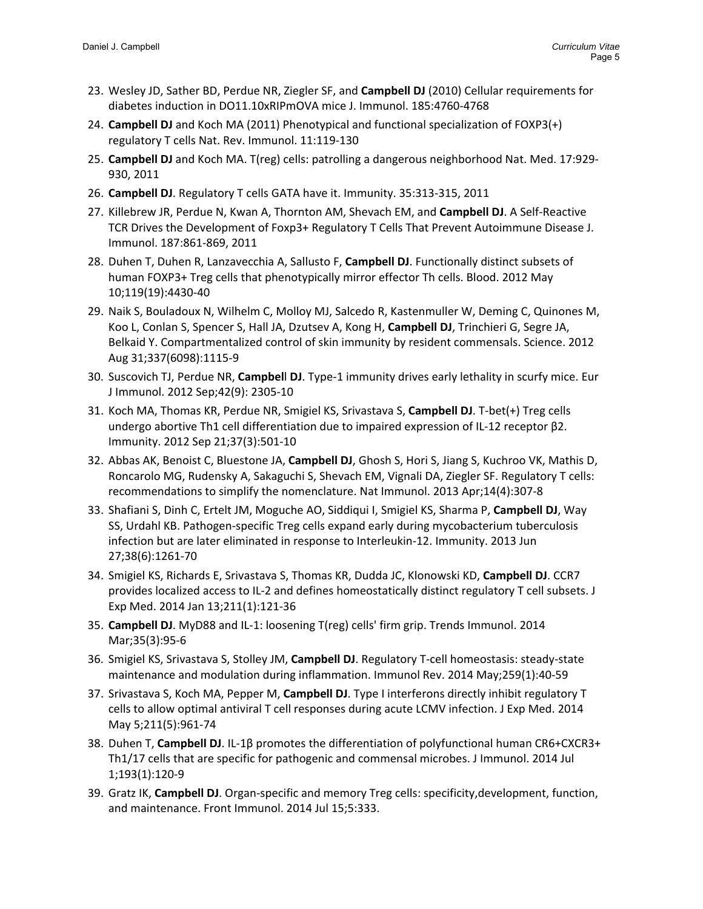- 23. Wesley JD, Sather BD, Perdue NR, Ziegler SF, and **Campbell DJ** (2010) Cellular requirements for diabetes induction in DO11.10xRIPmOVA mice J. Immunol. 185:4760‐4768
- 24. **Campbell DJ** and Koch MA (2011) Phenotypical and functional specialization of FOXP3(+) regulatory T cells Nat. Rev. Immunol. 11:119‐130
- 25. **Campbell DJ** and Koch MA. T(reg) cells: patrolling a dangerous neighborhood Nat. Med. 17:929‐ 930, 2011
- 26. **Campbell DJ**. Regulatory T cells GATA have it. Immunity. 35:313‐315, 2011
- 27. Killebrew JR, Perdue N, Kwan A, Thornton AM, Shevach EM, and **Campbell DJ**. A Self‐Reactive TCR Drives the Development of Foxp3+ Regulatory T Cells That Prevent Autoimmune Disease J. Immunol. 187:861‐869, 2011
- 28. Duhen T, Duhen R, Lanzavecchia A, Sallusto F, **Campbell DJ**. Functionally distinct subsets of human FOXP3+ Treg cells that phenotypically mirror effector Th cells. Blood. 2012 May 10;119(19):4430‐40
- 29. Naik S, Bouladoux N, Wilhelm C, Molloy MJ, Salcedo R, Kastenmuller W, Deming C, Quinones M, Koo L, Conlan S, Spencer S, Hall JA, Dzutsev A, Kong H, **Campbell DJ**, Trinchieri G, Segre JA, Belkaid Y. Compartmentalized control of skin immunity by resident commensals. Science. 2012 Aug 31;337(6098):1115‐9
- 30. Suscovich TJ, Perdue NR, **Campbel**l **DJ**. Type‐1 immunity drives early lethality in scurfy mice. Eur J Immunol. 2012 Sep;42(9): 2305‐10
- 31. Koch MA, Thomas KR, Perdue NR, Smigiel KS, Srivastava S, **Campbell DJ**. T‐bet(+) Treg cells undergo abortive Th1 cell differentiation due to impaired expression of IL‐12 receptor β2. Immunity. 2012 Sep 21;37(3):501‐10
- 32. Abbas AK, Benoist C, Bluestone JA, **Campbell DJ**, Ghosh S, Hori S, Jiang S, Kuchroo VK, Mathis D, Roncarolo MG, Rudensky A, Sakaguchi S, Shevach EM, Vignali DA, Ziegler SF. Regulatory T cells: recommendations to simplify the nomenclature. Nat Immunol. 2013 Apr;14(4):307‐8
- 33. Shafiani S, Dinh C, Ertelt JM, Moguche AO, Siddiqui I, Smigiel KS, Sharma P, **Campbell DJ**, Way SS, Urdahl KB. Pathogen‐specific Treg cells expand early during mycobacterium tuberculosis infection but are later eliminated in response to Interleukin-12. Immunity. 2013 Jun 27;38(6):1261‐70
- 34. Smigiel KS, Richards E, Srivastava S, Thomas KR, Dudda JC, Klonowski KD, **Campbell DJ**. CCR7 provides localized access to IL‐2 and defines homeostatically distinct regulatory T cell subsets. J Exp Med. 2014 Jan 13;211(1):121‐36
- 35. **Campbell DJ**. MyD88 and IL‐1: loosening T(reg) cells' firm grip. Trends Immunol. 2014 Mar;35(3):95‐6
- 36. Smigiel KS, Srivastava S, Stolley JM, **Campbell DJ**. Regulatory T‐cell homeostasis: steady‐state maintenance and modulation during inflammation. Immunol Rev. 2014 May;259(1):40‐59
- 37. Srivastava S, Koch MA, Pepper M, **Campbell DJ**. Type I interferons directly inhibit regulatory T cells to allow optimal antiviral T cell responses during acute LCMV infection. J Exp Med. 2014 May 5;211(5):961‐74
- 38. Duhen T, **Campbell DJ**. IL‐1β promotes the differentiation of polyfunctional human CR6+CXCR3+ Th1/17 cells that are specific for pathogenic and commensal microbes. J Immunol. 2014 Jul 1;193(1):120‐9
- 39. Gratz IK, **Campbell DJ**. Organ‐specific and memory Treg cells: specificity,development, function, and maintenance. Front Immunol. 2014 Jul 15;5:333.